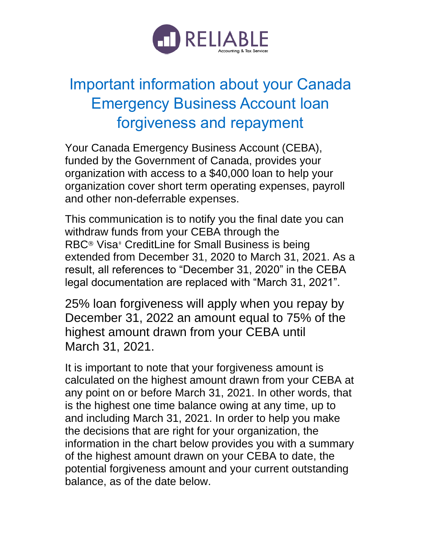

## Important information about your Canada Emergency Business Account loan forgiveness and repayment

Your Canada Emergency Business Account (CEBA), funded by the Government of Canada, provides your organization with access to a \$40,000 loan to help your organization cover short term operating expenses, payroll and other non-deferrable expenses.

This communication is to notify you the final date you can withdraw funds from your CEBA through the RBC<sup>®</sup> Visa<sup>‡</sup> CreditLine for Small Business is being extended from December 31, 2020 to March 31, 2021. As a result, all references to "December 31, 2020" in the CEBA legal documentation are replaced with "March 31, 2021".

25% loan forgiveness will apply when you repay by December 31, 2022 an amount equal to 75% of the highest amount drawn from your CEBA until March 31, 2021.

It is important to note that your forgiveness amount is calculated on the highest amount drawn from your CEBA at any point on or before March 31, 2021. In other words, that is the highest one time balance owing at any time, up to and including March 31, 2021. In order to help you make the decisions that are right for your organization, the information in the chart below provides you with a summary of the highest amount drawn on your CEBA to date, the potential forgiveness amount and your current outstanding balance, as of the date below.